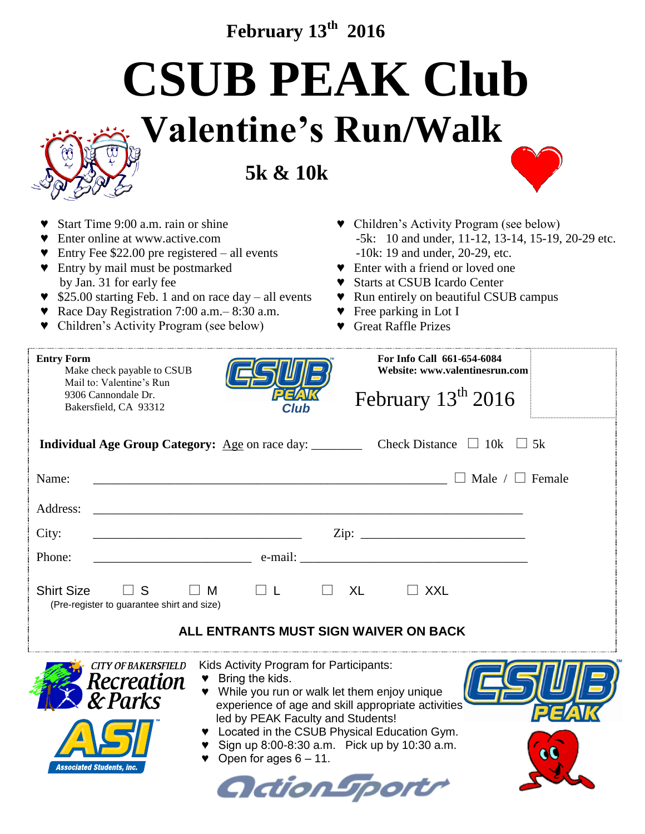## **February 13 th 2016**

**CSUB PEAK Club**

## **Valentine's Run/Walk**

**5k & 10k**



| Start Time 9:00 a.m. rain or shine<br>Enter online at www.active.com<br>Entry Fee $$22.00$ pre registered – all events<br>Entry by mail must be postmarked<br>by Jan. 31 for early fee<br>\$25.00 starting Feb. 1 and on race day - all events<br>Race Day Registration 7:00 a.m. - 8:30 a.m.<br>Children's Activity Program (see below) | • Children's Activity Program (see below)<br>-5k: 10 and under, 11-12, 13-14, 15-19, 20-29 etc.<br>-10k: 19 and under, 20-29, etc.<br>• Enter with a friend or loved one<br><b>Starts at CSUB Icardo Center</b><br>Run entirely on beautiful CSUB campus<br>Y.<br>▼ Free parking in Lot I<br><b>Great Raffle Prizes</b> |  |  |
|------------------------------------------------------------------------------------------------------------------------------------------------------------------------------------------------------------------------------------------------------------------------------------------------------------------------------------------|-------------------------------------------------------------------------------------------------------------------------------------------------------------------------------------------------------------------------------------------------------------------------------------------------------------------------|--|--|
| <b>Entry Form</b><br>Make check payable to CSUB<br>Mail to: Valentine's Run<br>9306 Cannondale Dr.<br>Bakersfield, CA 93312                                                                                                                                                                                                              | For Info Call 661-654-6084<br>Website: www.valentinesrun.com<br>February 13 <sup>th</sup> 2016                                                                                                                                                                                                                          |  |  |
| <b>Individual Age Group Category:</b> Age on race day: ____________ Check Distance $\Box$ 10k $\Box$ 5k                                                                                                                                                                                                                                  |                                                                                                                                                                                                                                                                                                                         |  |  |
| Name:<br><u> 1980 - Johann Barbara, martin amerikan basal dan berasal dalam basal dalam basal dan berasal dan berasal dala</u>                                                                                                                                                                                                           | $\Box$ Male / $\Box$ Female                                                                                                                                                                                                                                                                                             |  |  |
| Address:                                                                                                                                                                                                                                                                                                                                 |                                                                                                                                                                                                                                                                                                                         |  |  |
| City:                                                                                                                                                                                                                                                                                                                                    |                                                                                                                                                                                                                                                                                                                         |  |  |
| Phone:                                                                                                                                                                                                                                                                                                                                   |                                                                                                                                                                                                                                                                                                                         |  |  |
| <b>Shirt Size</b><br>$\Box$ L<br>$\Box$ S<br>$\Box$ M<br>(Pre-register to guarantee shirt and size)                                                                                                                                                                                                                                      | XL<br>$\sqsupset$ XXL                                                                                                                                                                                                                                                                                                   |  |  |
| ALL ENTRANTS MUST SIGN WAIVER ON BACK                                                                                                                                                                                                                                                                                                    |                                                                                                                                                                                                                                                                                                                         |  |  |
| <b>CITY OF BAKERSFIELD</b> Kids Activity Program for Participants:<br>Recreation<br>& Parks<br>$\bullet$ Bring the kids.<br>led by PEAK Faculty and Students!<br>Open for ages $6 - 11$ .<br>Associated Students, inc.                                                                                                                   | While you run or walk let them enjoy unique<br>experience of age and skill appropriate activities<br>Located in the CSUB Physical Education Gym.<br>Sign up 8:00-8:30 a.m. Pick up by 10:30 a.m.<br>cc<br>OdionTport                                                                                                    |  |  |